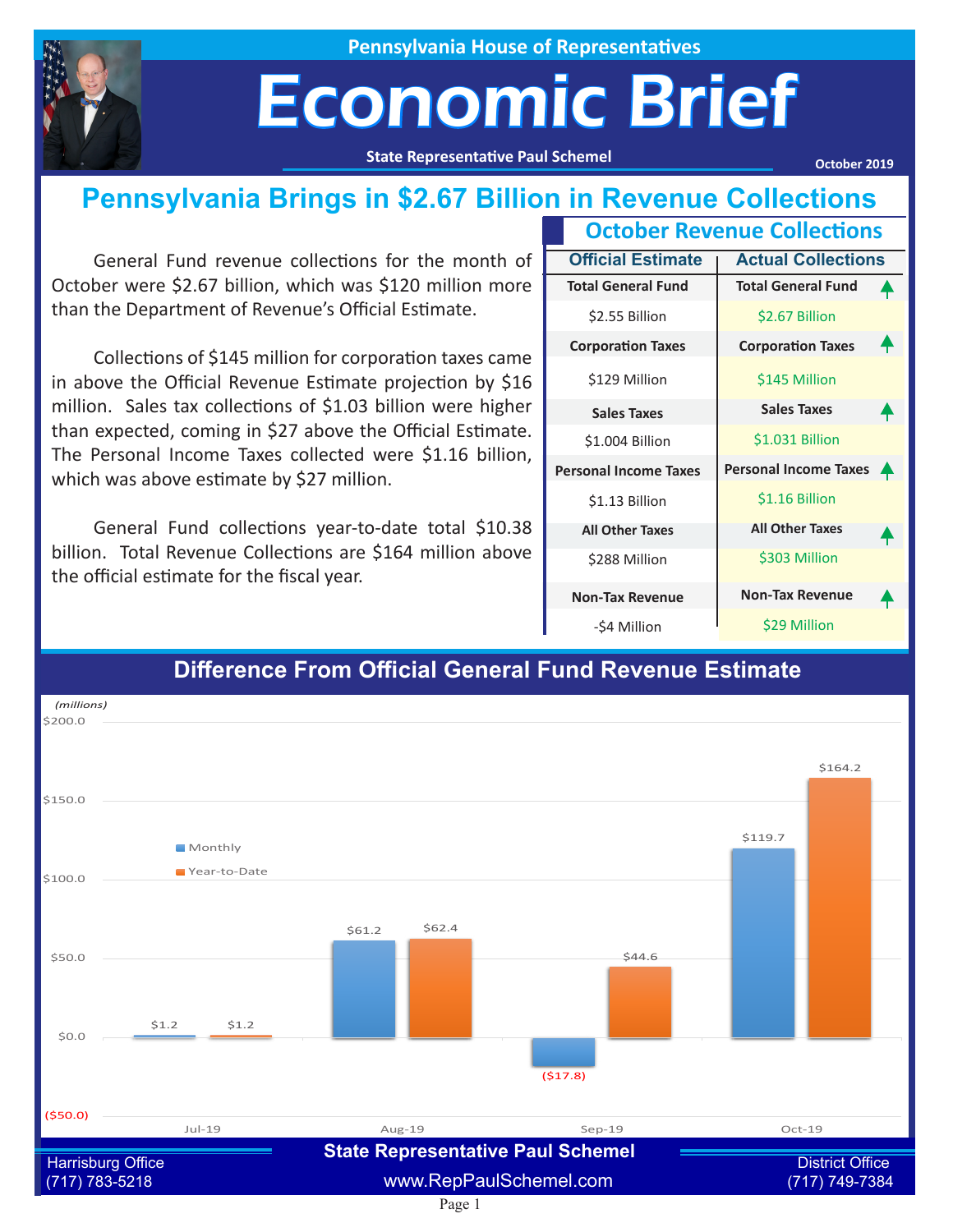

**Pennsylvania House of Representatives**

## Economic Brief

**State Representative Paul Schemel**

**October 2019**

### **Pennsylvania Brings in \$2.67 Billion in Revenue Collections**

General Fund revenue collections for the month of October were \$2.67 billion, which was \$120 million more than the Department of Revenue's Official Estimate.

Collections of \$145 million for corporation taxes came in above the Official Revenue Estimate projection by \$16 million. Sales tax collections of \$1.03 billion were higher than expected, coming in \$27 above the Official Estimate. The Personal Income Taxes collected were \$1.16 billion, which was above estimate by \$27 million.

General Fund collections year-to-date total \$10.38 billion. Total Revenue Collections are \$164 million above the official estimate for the fiscal year.

| <b>October Revenue Collections</b> |                              |                  |  |  |
|------------------------------------|------------------------------|------------------|--|--|
|                                    |                              |                  |  |  |
| <b>Official Estimate</b>           | <b>Actual Collections</b>    |                  |  |  |
| <b>Total General Fund</b>          | <b>Total General Fund</b>    |                  |  |  |
| \$2.55 Billion                     | \$2.67 Billion               |                  |  |  |
| <b>Corporation Taxes</b>           | <b>Corporation Taxes</b>     |                  |  |  |
| \$129 Million                      | \$145 Million                |                  |  |  |
| <b>Sales Taxes</b>                 | <b>Sales Taxes</b>           |                  |  |  |
| \$1.004 Billion                    | \$1.031 Billion              |                  |  |  |
| <b>Personal Income Taxes</b>       | <b>Personal Income Taxes</b> | $\blacktriangle$ |  |  |
| \$1.13 Billion                     | \$1.16 Billion               |                  |  |  |
| <b>All Other Taxes</b>             | <b>All Other Taxes</b>       |                  |  |  |
| \$288 Million                      | \$303 Million                |                  |  |  |
| <b>Non-Tax Revenue</b>             | <b>Non-Tax Revenue</b>       |                  |  |  |
| -\$4 Million                       | \$29 Million                 |                  |  |  |



#### **Difference From Official General Fund Revenue Estimate**